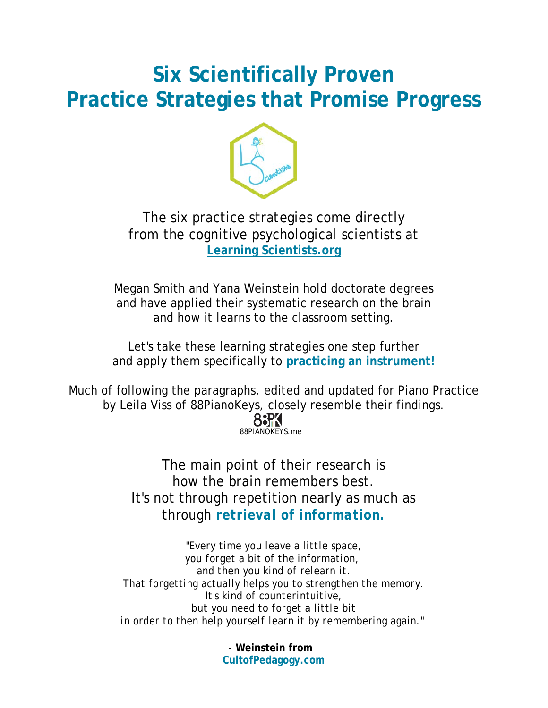# **Six Scientifically Proven Practice Strategies that Promise Progress**



The six practice strategies come directly from the cognitive psychological scientists at **[Learning Scientists.org](http://www.learningscientists.org/)**

Megan Smith and Yana Weinstein hold doctorate degrees and have applied their systematic research on the brain and how it learns to the classroom setting.

Let's take these learning strategies one step further and apply them specifically to **practicing an instrument!**

Much of following the paragraphs, edited and updated for Piano Practice by Leila Viss of 88PianoKeys, closely resemble their findings.



The main point of their research is how the brain remembers best. It's not through repetition nearly as much as through *retrieval of information.*

*"Every time you leave a little space, you forget a bit of the information, and then you kind of relearn it. That forgetting actually helps you to strengthen the memory. It's kind of counterintuitive, but you need to forget a little bit in order to then help yourself learn it by remembering again."*

> *-* **Weinstein from CultofPedagogy.com**